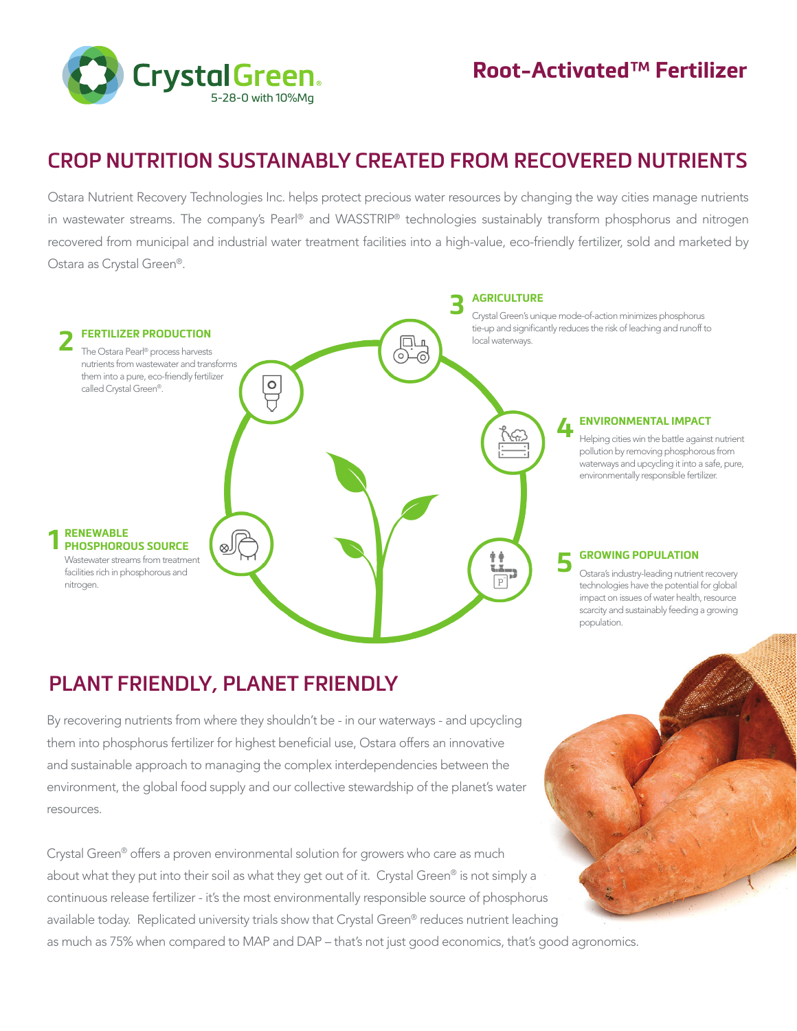

# **CROP NUTRITION SUSTAINABLY CREATED FROM RECOVERED NUTRIENTS**

Ostara Nutrient Recovery Technologies Inc. helps protect precious water resources by changing the way cities manage nutrients in wastewater streams. The company's Pearl® and WASSTRIP® technologies sustainably transform phosphorus and nitrogen recovered from municipal and industrial water treatment facilities into a high-value, eco-friendly fertilizer, sold and marketed by Ostara as Crystal Green®.



## **PLANT FRIENDLY, PLANET FRIENDLY**

By recovering nutrients from where they shouldn't be - in our waterways - and upcycling them into phosphorus fertilizer for highest beneficial use, Ostara offers an innovative and sustainable approach to managing the complex interdependencies between the environment, the global food supply and our collective stewardship of the planet's water resources.

Crystal Green® offers a proven environmental solution for growers who care as much about what they put into their soil as what they get out of it. Crystal Green® is not simply a continuous release fertilizer - it's the most environmentally responsible source of phosphorus available today. Replicated university trials show that Crystal Green® reduces nutrient leaching as much as 75% when compared to MAP and DAP – that's not just good economics, that's good agronomics.